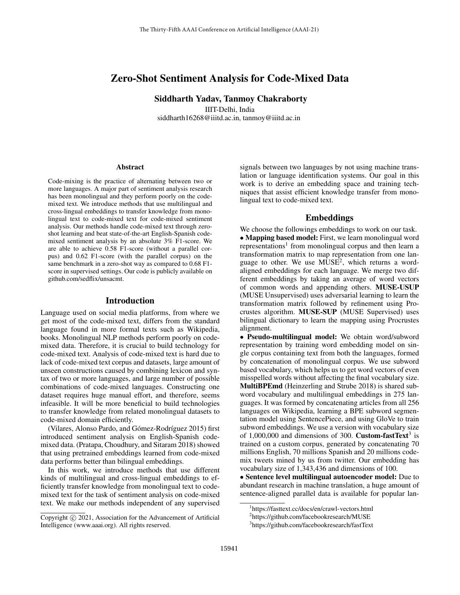# Zero-Shot Sentiment Analysis for Code-Mixed Data

Siddharth Yadav, Tanmoy Chakraborty IIIT-Delhi, India

siddharth16268@iiitd.ac.in, tanmoy@iiitd.ac.in

#### Abstract

Code-mixing is the practice of alternating between two or more languages. A major part of sentiment analysis research has been monolingual and they perform poorly on the codemixed text. We introduce methods that use multilingual and cross-lingual embeddings to transfer knowledge from monolingual text to code-mixed text for code-mixed sentiment analysis. Our methods handle code-mixed text through zeroshot learning and beat state-of-the-art English-Spanish codemixed sentiment analysis by an absolute 3% F1-score. We are able to achieve 0.58 F1-score (without a parallel corpus) and 0.62 F1-score (with the parallel corpus) on the same benchmark in a zero-shot way as compared to 0.68 F1 score in supervised settings. Our code is publicly available on github.com/sedflix/unsacmt.

## Introduction

Language used on social media platforms, from where we get most of the code-mixed text, differs from the standard language found in more formal texts such as Wikipedia, books. Monolingual NLP methods perform poorly on codemixed data. Therefore, it is crucial to build technology for code-mixed text. Analysis of code-mixed text is hard due to lack of code-mixed text corpus and datasets, large amount of unseen constructions caused by combining lexicon and syntax of two or more languages, and large number of possible combinations of code-mixed languages. Constructing one dataset requires huge manual effort, and therefore, seems infeasible. It will be more beneficial to build technologies to transfer knowledge from related monolingual datasets to code-mixed domain efficiently.

(Vilares, Alonso Pardo, and Gómez-Rodríguez 2015) first introduced sentiment analysis on English-Spanish codemixed data. (Pratapa, Choudhury, and Sitaram 2018) showed that using pretrained embeddings learned from code-mixed data performs better than bilingual embeddings.

In this work, we introduce methods that use different kinds of multilingual and cross-lingual embeddings to efficiently transfer knowledge from monolingual text to codemixed text for the task of sentiment analysis on code-mixed text. We make our methods independent of any supervised

signals between two languages by not using machine translation or language identification systems. Our goal in this work is to derive an embedding space and training techniques that assist efficient knowledge transfer from monolingual text to code-mixed text.

# Embeddings

We choose the followings embeddings to work on our task. • Mapping based model: First, we learn monolingual word representations<sup>1</sup> from monolingual corpus and then learn a transformation matrix to map representation from one language to other. We use  $MUSE<sup>2</sup>$ , which returns a wordaligned embeddings for each language. We merge two different embeddings by taking an average of word vectors of common words and appending others. MUSE-USUP (MUSE Unsupervised) uses adversarial learning to learn the transformation matrix followed by refinement using Procrustes algorithm. MUSE-SUP (MUSE Supervised) uses bilingual dictionary to learn the mapping using Procrustes alignment.

• Pseudo-multilingual model: We obtain word/subword representation by training word embedding model on single corpus containing text from both the languages, formed by concatenation of monolingual corpus. We use subword based vocabulary, which helps us to get word vectors of even misspelled words without affecting the final vocabulary size. MultiBPEmd (Heinzerling and Strube 2018) is shared subword vocabulary and multilingual embeddings in 275 languages. It was formed by concatenating articles from all 256 languages on Wikipedia, learning a BPE subword segmentation model using SentencePiece, and using GloVe to train subword embeddings. We use a version with vocabulary size of 1,000,000 and dimensions of 300. **Custom-fastText**<sup>3</sup> is trained on a custom corpus, generated by concatenating 70 millions English, 70 millions Spanish and 20 millions codemix tweets mined by us from twitter. Our embedding has vocabulary size of 1,343,436 and dimensions of 100.

• Sentence level multilingual autoencoder model: Due to abundant research in machine translation, a huge amount of sentence-aligned parallel data is available for popular lan-

Copyright (c) 2021, Association for the Advancement of Artificial Intelligence (www.aaai.org). All rights reserved.

<sup>1</sup> https://fasttext.cc/docs/en/crawl-vectors.html

<sup>&</sup>lt;sup>2</sup>https://github.com/facebookresearch/MUSE

<sup>3</sup> https://github.com/facebookresearch/fastText